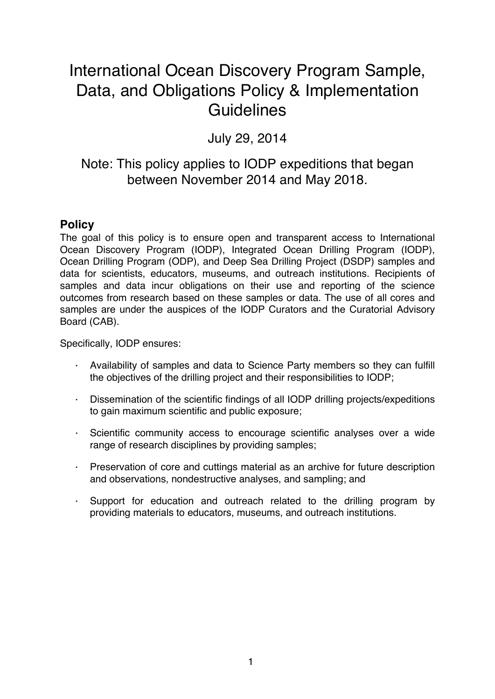# International Ocean Discovery Program Sample, Data, and Obligations Policy & Implementation **Guidelines**

July 29, 2014

# Note: This policy applies to IODP expeditions that began between November 2014 and May 2018.

## **Policy**

The goal of this policy is to ensure open and transparent access to International Ocean Discovery Program (IODP), Integrated Ocean Drilling Program (IODP), Ocean Drilling Program (ODP), and Deep Sea Drilling Project (DSDP) samples and data for scientists, educators, museums, and outreach institutions. Recipients of samples and data incur obligations on their use and reporting of the science outcomes from research based on these samples or data. The use of all cores and samples are under the auspices of the IODP Curators and the Curatorial Advisory Board (CAB).

Specifically, IODP ensures:

- · Availability of samples and data to Science Party members so they can fulfill the objectives of the drilling project and their responsibilities to IODP;
- · Dissemination of the scientific findings of all IODP drilling projects/expeditions to gain maximum scientific and public exposure;
- · Scientific community access to encourage scientific analyses over a wide range of research disciplines by providing samples;
- · Preservation of core and cuttings material as an archive for future description and observations, nondestructive analyses, and sampling; and
- · Support for education and outreach related to the drilling program by providing materials to educators, museums, and outreach institutions.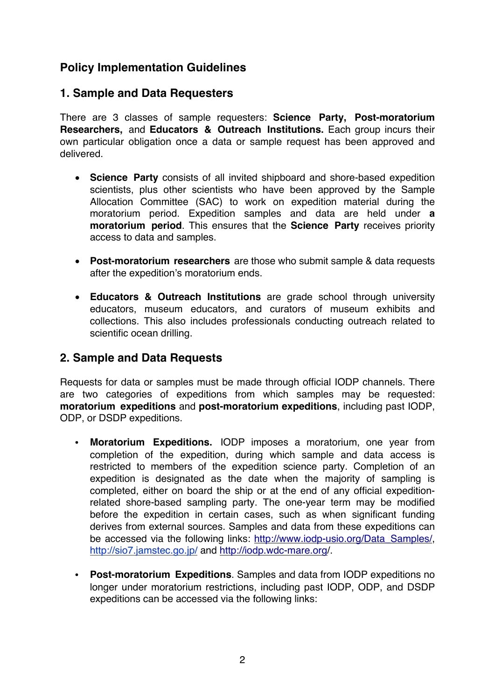## **Policy Implementation Guidelines**

## **1. Sample and Data Requesters**

There are 3 classes of sample requesters: **Science Party, Post-moratorium Researchers,** and **Educators & Outreach Institutions.** Each group incurs their own particular obligation once a data or sample request has been approved and delivered.

- **Science Party** consists of all invited shipboard and shore-based expedition scientists, plus other scientists who have been approved by the Sample Allocation Committee (SAC) to work on expedition material during the moratorium period. Expedition samples and data are held under **a moratorium period**. This ensures that the **Science Party** receives priority access to data and samples.
- **Post-moratorium researchers** are those who submit sample & data requests after the expedition's moratorium ends.
- **Educators & Outreach Institutions** are grade school through university educators, museum educators, and curators of museum exhibits and collections. This also includes professionals conducting outreach related to scientific ocean drilling.

## **2. Sample and Data Requests**

Requests for data or samples must be made through official IODP channels. There are two categories of expeditions from which samples may be requested: **moratorium expeditions** and **post-moratorium expeditions**, including past IODP, ODP, or DSDP expeditions.

- **Moratorium Expeditions.** IODP imposes a moratorium, one year from completion of the expedition, during which sample and data access is restricted to members of the expedition science party. Completion of an expedition is designated as the date when the majority of sampling is completed, either on board the ship or at the end of any official expeditionrelated shore-based sampling party. The one-year term may be modified before the expedition in certain cases, such as when significant funding derives from external sources. Samples and data from these expeditions can be accessed via the following links: http://www.iodp-usio.org/Data\_Samples/, http://sio7.jamstec.go.jp/ and http://iodp.wdc-mare.org/.
- **Post-moratorium Expeditions**. Samples and data from IODP expeditions no longer under moratorium restrictions, including past IODP, ODP, and DSDP expeditions can be accessed via the following links: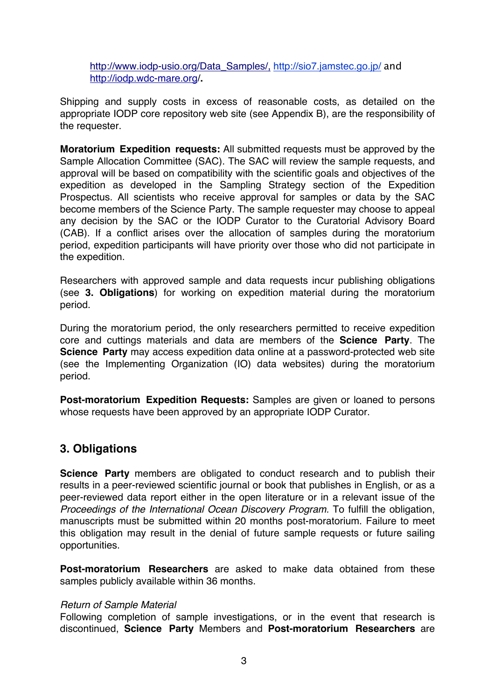http://www.iodp-usio.org/Data\_Samples/, http://sio7.jamstec.go.jp/ and http://iodp.wdc-mare.org/**.**

Shipping and supply costs in excess of reasonable costs, as detailed on the appropriate IODP core repository web site (see Appendix B), are the responsibility of the requester.

**Moratorium Expedition requests:** All submitted requests must be approved by the Sample Allocation Committee (SAC). The SAC will review the sample requests, and approval will be based on compatibility with the scientific goals and objectives of the expedition as developed in the Sampling Strategy section of the Expedition Prospectus. All scientists who receive approval for samples or data by the SAC become members of the Science Party. The sample requester may choose to appeal any decision by the SAC or the IODP Curator to the Curatorial Advisory Board (CAB). If a conflict arises over the allocation of samples during the moratorium period, expedition participants will have priority over those who did not participate in the expedition.

Researchers with approved sample and data requests incur publishing obligations (see **3. Obligations**) for working on expedition material during the moratorium period.

During the moratorium period, the only researchers permitted to receive expedition core and cuttings materials and data are members of the **Science Party**. The **Science Party** may access expedition data online at a password-protected web site (see the Implementing Organization (IO) data websites) during the moratorium period.

**Post-moratorium Expedition Requests:** Samples are given or loaned to persons whose requests have been approved by an appropriate IODP Curator.

## **3. Obligations**

**Science Party** members are obligated to conduct research and to publish their results in a peer-reviewed scientific journal or book that publishes in English, or as a peer-reviewed data report either in the open literature or in a relevant issue of the *Proceedings of the International Ocean Discovery Program.* To fulfill the obligation, manuscripts must be submitted within 20 months post-moratorium. Failure to meet this obligation may result in the denial of future sample requests or future sailing opportunities.

**Post-moratorium Researchers** are asked to make data obtained from these samples publicly available within 36 months.

#### *Return of Sample Material*

Following completion of sample investigations, or in the event that research is discontinued, **Science Party** Members and **Post-moratorium Researchers** are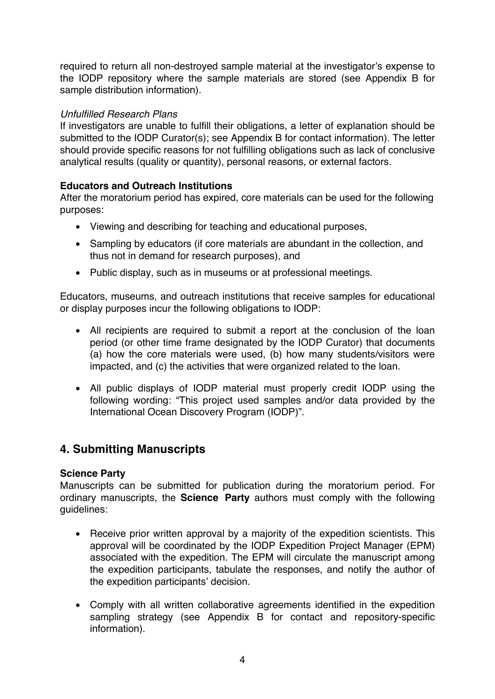required to return all non-destroyed sample material at the investigator's expense to the IODP repository where the sample materials are stored (see Appendix B for sample distribution information).

#### *Unfulfilled Research Plans*

If investigators are unable to fulfill their obligations, a letter of explanation should be submitted to the IODP Curator(s); see Appendix B for contact information). The letter should provide specific reasons for not fulfilling obligations such as lack of conclusive analytical results (quality or quantity), personal reasons, or external factors.

#### **Educators and Outreach Institutions**

After the moratorium period has expired, core materials can be used for the following purposes:

- Viewing and describing for teaching and educational purposes,
- Sampling by educators (if core materials are abundant in the collection, and thus not in demand for research purposes), and
- Public display, such as in museums or at professional meetings.

Educators, museums, and outreach institutions that receive samples for educational or display purposes incur the following obligations to IODP:

- All recipients are required to submit a report at the conclusion of the loan period (or other time frame designated by the IODP Curator) that documents (a) how the core materials were used, (b) how many students/visitors were impacted, and (c) the activities that were organized related to the loan.
- All public displays of IODP material must properly credit IODP using the following wording: "This project used samples and/or data provided by the International Ocean Discovery Program (IODP)".

## **4. Submitting Manuscripts**

#### **Science Party**

Manuscripts can be submitted for publication during the moratorium period. For ordinary manuscripts, the **Science Party** authors must comply with the following guidelines:

- Receive prior written approval by a majority of the expedition scientists. This approval will be coordinated by the IODP Expedition Project Manager (EPM) associated with the expedition. The EPM will circulate the manuscript among the expedition participants, tabulate the responses, and notify the author of the expedition participants' decision.
- Comply with all written collaborative agreements identified in the expedition sampling strategy (see Appendix B for contact and repository-specific information).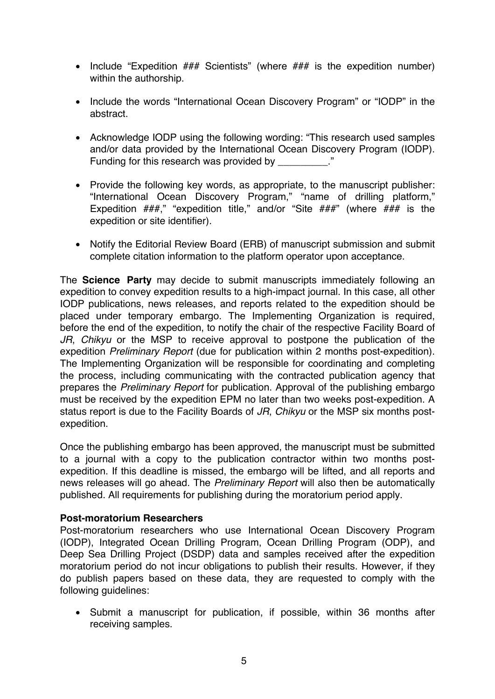- Include "Expedition ### Scientists" (where ### is the expedition number) within the authorship.
- Include the words "International Ocean Discovery Program" or "IODP" in the abstract.
- Acknowledge IODP using the following wording: "This research used samples and/or data provided by the International Ocean Discovery Program (IODP). Funding for this research was provided by  $\ddot{\hspace{1cm}}$ .
- Provide the following key words, as appropriate, to the manuscript publisher: "International Ocean Discovery Program," "name of drilling platform," Expedition ###," "expedition title," and/or "Site ###" (where ### is the expedition or site identifier).
- Notify the Editorial Review Board (ERB) of manuscript submission and submit complete citation information to the platform operator upon acceptance.

The **Science Party** may decide to submit manuscripts immediately following an expedition to convey expedition results to a high-impact journal. In this case, all other IODP publications, news releases, and reports related to the expedition should be placed under temporary embargo. The Implementing Organization is required, before the end of the expedition, to notify the chair of the respective Facility Board of *JR*, *Chikyu* or the MSP to receive approval to postpone the publication of the expedition *Preliminary Report* (due for publication within 2 months post-expedition). The Implementing Organization will be responsible for coordinating and completing the process, including communicating with the contracted publication agency that prepares the *Preliminary Report* for publication. Approval of the publishing embargo must be received by the expedition EPM no later than two weeks post-expedition. A status report is due to the Facility Boards of *JR*, *Chikyu* or the MSP six months postexpedition.

Once the publishing embargo has been approved, the manuscript must be submitted to a journal with a copy to the publication contractor within two months postexpedition. If this deadline is missed, the embargo will be lifted, and all reports and news releases will go ahead. The *Preliminary Report* will also then be automatically published. All requirements for publishing during the moratorium period apply.

#### **Post-moratorium Researchers**

Post-moratorium researchers who use International Ocean Discovery Program (IODP), Integrated Ocean Drilling Program, Ocean Drilling Program (ODP), and Deep Sea Drilling Project (DSDP) data and samples received after the expedition moratorium period do not incur obligations to publish their results. However, if they do publish papers based on these data, they are requested to comply with the following guidelines:

• Submit a manuscript for publication, if possible, within 36 months after receiving samples.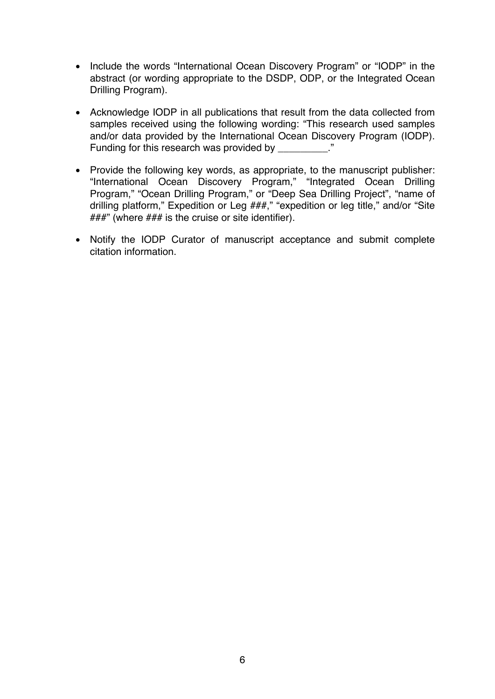- Include the words "International Ocean Discovery Program" or "IODP" in the abstract (or wording appropriate to the DSDP, ODP, or the Integrated Ocean Drilling Program).
- Acknowledge IODP in all publications that result from the data collected from samples received using the following wording: "This research used samples and/or data provided by the International Ocean Discovery Program (IODP). Funding for this research was provided by  $\cdot$ ."
- Provide the following key words, as appropriate, to the manuscript publisher: "International Ocean Discovery Program," "Integrated Ocean Drilling Program," "Ocean Drilling Program," or "Deep Sea Drilling Project", "name of drilling platform," Expedition or Leg ###," "expedition or leg title," and/or "Site ###" (where ### is the cruise or site identifier).
- Notify the IODP Curator of manuscript acceptance and submit complete citation information.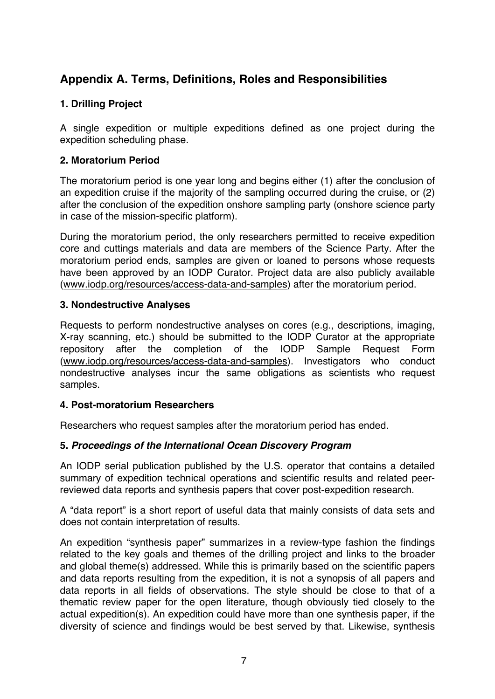# **Appendix A. Terms, Definitions, Roles and Responsibilities**

### **1. Drilling Project**

A single expedition or multiple expeditions defined as one project during the expedition scheduling phase.

#### **2. Moratorium Period**

The moratorium period is one year long and begins either (1) after the conclusion of an expedition cruise if the majority of the sampling occurred during the cruise, or (2) after the conclusion of the expedition onshore sampling party (onshore science party in case of the mission-specific platform).

During the moratorium period, the only researchers permitted to receive expedition core and cuttings materials and data are members of the Science Party. After the moratorium period ends, samples are given or loaned to persons whose requests have been approved by an IODP Curator. Project data are also publicly available (www.iodp.org/resources/access-data-and-samples) after the moratorium period.

#### **3. Nondestructive Analyses**

Requests to perform nondestructive analyses on cores (e.g., descriptions, imaging, X-ray scanning, etc.) should be submitted to the IODP Curator at the appropriate repository after the completion of the IODP Sample Request Form (www.iodp.org/resources/access-data-and-samples). Investigators who conduct nondestructive analyses incur the same obligations as scientists who request samples.

#### **4. Post-moratorium Researchers**

Researchers who request samples after the moratorium period has ended.

## **5.** *Proceedings of the International Ocean Discovery Program*

An IODP serial publication published by the U.S. operator that contains a detailed summary of expedition technical operations and scientific results and related peerreviewed data reports and synthesis papers that cover post-expedition research.

A "data report" is a short report of useful data that mainly consists of data sets and does not contain interpretation of results.

An expedition "synthesis paper" summarizes in a review-type fashion the findings related to the key goals and themes of the drilling project and links to the broader and global theme(s) addressed. While this is primarily based on the scientific papers and data reports resulting from the expedition, it is not a synopsis of all papers and data reports in all fields of observations. The style should be close to that of a thematic review paper for the open literature, though obviously tied closely to the actual expedition(s). An expedition could have more than one synthesis paper, if the diversity of science and findings would be best served by that. Likewise, synthesis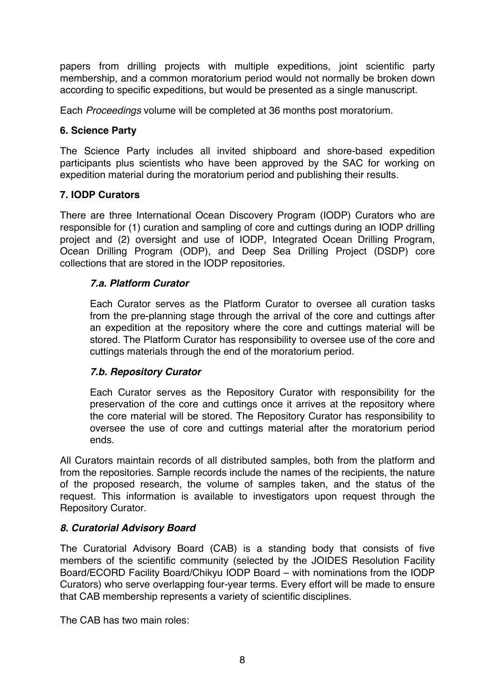papers from drilling projects with multiple expeditions, joint scientific party membership, and a common moratorium period would not normally be broken down according to specific expeditions, but would be presented as a single manuscript.

Each *Proceedings* volume will be completed at 36 months post moratorium.

#### **6. Science Party**

The Science Party includes all invited shipboard and shore-based expedition participants plus scientists who have been approved by the SAC for working on expedition material during the moratorium period and publishing their results.

#### **7. IODP Curators**

There are three International Ocean Discovery Program (IODP) Curators who are responsible for (1) curation and sampling of core and cuttings during an IODP drilling project and (2) oversight and use of IODP, Integrated Ocean Drilling Program, Ocean Drilling Program (ODP), and Deep Sea Drilling Project (DSDP) core collections that are stored in the IODP repositories.

#### *7.a. Platform Curator*

Each Curator serves as the Platform Curator to oversee all curation tasks from the pre-planning stage through the arrival of the core and cuttings after an expedition at the repository where the core and cuttings material will be stored. The Platform Curator has responsibility to oversee use of the core and cuttings materials through the end of the moratorium period.

#### *7.b. Repository Curator*

Each Curator serves as the Repository Curator with responsibility for the preservation of the core and cuttings once it arrives at the repository where the core material will be stored. The Repository Curator has responsibility to oversee the use of core and cuttings material after the moratorium period ends.

All Curators maintain records of all distributed samples, both from the platform and from the repositories. Sample records include the names of the recipients, the nature of the proposed research, the volume of samples taken, and the status of the request. This information is available to investigators upon request through the Repository Curator.

#### *8. Curatorial Advisory Board*

The Curatorial Advisory Board (CAB) is a standing body that consists of five members of the scientific community (selected by the JOIDES Resolution Facility Board/ECORD Facility Board/Chikyu IODP Board – with nominations from the IODP Curators) who serve overlapping four-year terms. Every effort will be made to ensure that CAB membership represents a variety of scientific disciplines.

The CAB has two main roles: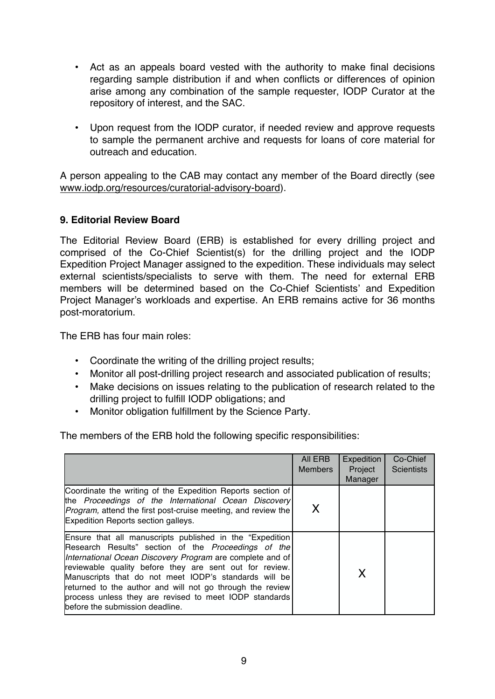- Act as an appeals board vested with the authority to make final decisions regarding sample distribution if and when conflicts or differences of opinion arise among any combination of the sample requester, IODP Curator at the repository of interest, and the SAC.
- Upon request from the IODP curator, if needed review and approve requests to sample the permanent archive and requests for loans of core material for outreach and education.

A person appealing to the CAB may contact any member of the Board directly (see www.iodp.org/resources/curatorial-advisory-board).

#### **9. Editorial Review Board**

The Editorial Review Board (ERB) is established for every drilling project and comprised of the Co-Chief Scientist(s) for the drilling project and the IODP Expedition Project Manager assigned to the expedition. These individuals may select external scientists/specialists to serve with them. The need for external ERB members will be determined based on the Co-Chief Scientists' and Expedition Project Manager's workloads and expertise. An ERB remains active for 36 months post-moratorium.

The ERB has four main roles:

- Coordinate the writing of the drilling project results;
- Monitor all post-drilling project research and associated publication of results;
- Make decisions on issues relating to the publication of research related to the drilling project to fulfill IODP obligations; and
- Monitor obligation fulfillment by the Science Party.

The members of the ERB hold the following specific responsibilities:

|                                                                                                                                                                                                                                                                                                                                                                                                                                                            | AII ERB<br><b>Members</b> | Expedition<br>Project<br>Manager | Co-Chief<br><b>Scientists</b> |
|------------------------------------------------------------------------------------------------------------------------------------------------------------------------------------------------------------------------------------------------------------------------------------------------------------------------------------------------------------------------------------------------------------------------------------------------------------|---------------------------|----------------------------------|-------------------------------|
| Coordinate the writing of the Expedition Reports section of<br>the Proceedings of the International Ocean Discovery<br><i>Program</i> , attend the first post-cruise meeting, and review the<br>Expedition Reports section galleys.                                                                                                                                                                                                                        | X                         |                                  |                               |
| Ensure that all manuscripts published in the "Expedition<br>Research Results" section of the Proceedings of the<br>International Ocean Discovery Program are complete and of<br>reviewable quality before they are sent out for review.<br>Manuscripts that do not meet IODP's standards will be<br>returned to the author and will not go through the review<br>process unless they are revised to meet IODP standards<br>before the submission deadline. |                           | X                                |                               |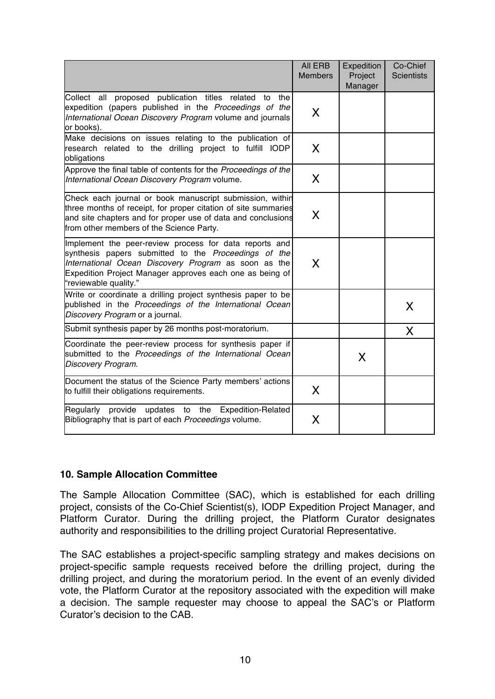|                                                                                                                                                                                                                                                             | All ERB<br><b>Members</b> | Expedition<br>Project<br>Manager | Co-Chief<br><b>Scientists</b> |
|-------------------------------------------------------------------------------------------------------------------------------------------------------------------------------------------------------------------------------------------------------------|---------------------------|----------------------------------|-------------------------------|
| Collect all proposed publication titles related to the<br>expedition (papers published in the Proceedings of the<br>International Ocean Discovery Program volume and journals<br>or books).                                                                 | X                         |                                  |                               |
| Make decisions on issues relating to the publication of<br>research related to the drilling project to fulfill IODP<br>obligations                                                                                                                          | X                         |                                  |                               |
| Approve the final table of contents for the Proceedings of the<br>International Ocean Discovery Program volume.                                                                                                                                             | X                         |                                  |                               |
| Check each journal or book manuscript submission, within<br>three months of receipt, for proper citation of site summaries<br>and site chapters and for proper use of data and conclusions<br>from other members of the Science Party.                      | X                         |                                  |                               |
| Implement the peer-review process for data reports and<br>synthesis papers submitted to the Proceedings of the<br>International Ocean Discovery Program as soon as the<br>Expedition Project Manager approves each one as being of<br>"reviewable quality." | X                         |                                  |                               |
| Write or coordinate a drilling project synthesis paper to be<br>published in the Proceedings of the International Ocean<br>Discovery Program or a journal.                                                                                                  |                           |                                  | X                             |
| Submit synthesis paper by 26 months post-moratorium.                                                                                                                                                                                                        |                           |                                  | X                             |
| Coordinate the peer-review process for synthesis paper if<br>submitted to the Proceedings of the International Ocean<br>Discovery Program.                                                                                                                  |                           | X                                |                               |
| Document the status of the Science Party members' actions<br>to fulfill their obligations requirements.                                                                                                                                                     | X                         |                                  |                               |
| Regularly provide updates to the Expedition-Related<br>Bibliography that is part of each Proceedings volume.                                                                                                                                                | X                         |                                  |                               |

#### **10. Sample Allocation Committee**

The Sample Allocation Committee (SAC), which is established for each drilling project, consists of the Co-Chief Scientist(s), IODP Expedition Project Manager, and Platform Curator. During the drilling project, the Platform Curator designates authority and responsibilities to the drilling project Curatorial Representative.

The SAC establishes a project-specific sampling strategy and makes decisions on project-specific sample requests received before the drilling project, during the drilling project, and during the moratorium period. In the event of an evenly divided vote, the Platform Curator at the repository associated with the expedition will make a decision. The sample requester may choose to appeal the SAC's or Platform Curator's decision to the CAB.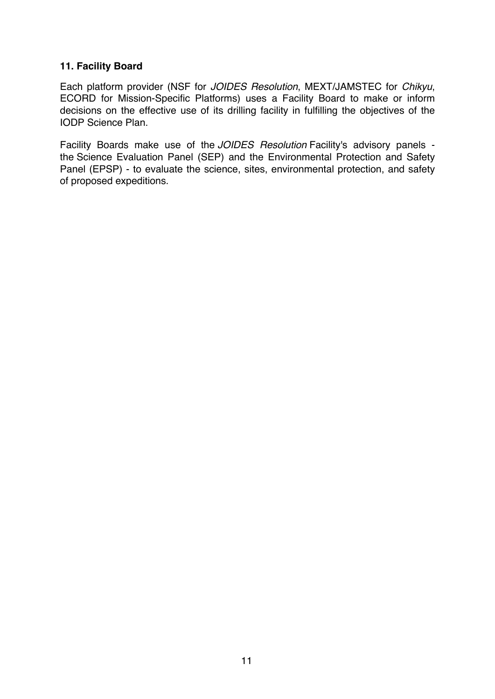#### **11. Facility Board**

Each platform provider (NSF for *JOIDES Resolution*, MEXT/JAMSTEC for *Chikyu*, ECORD for Mission-Specific Platforms) uses a Facility Board to make or inform decisions on the effective use of its drilling facility in fulfilling the objectives of the IODP Science Plan.

Facility Boards make use of the *JOIDES Resolution* Facility's advisory panels the Science Evaluation Panel (SEP) and the Environmental Protection and Safety Panel (EPSP) - to evaluate the science, sites, environmental protection, and safety of proposed expeditions.